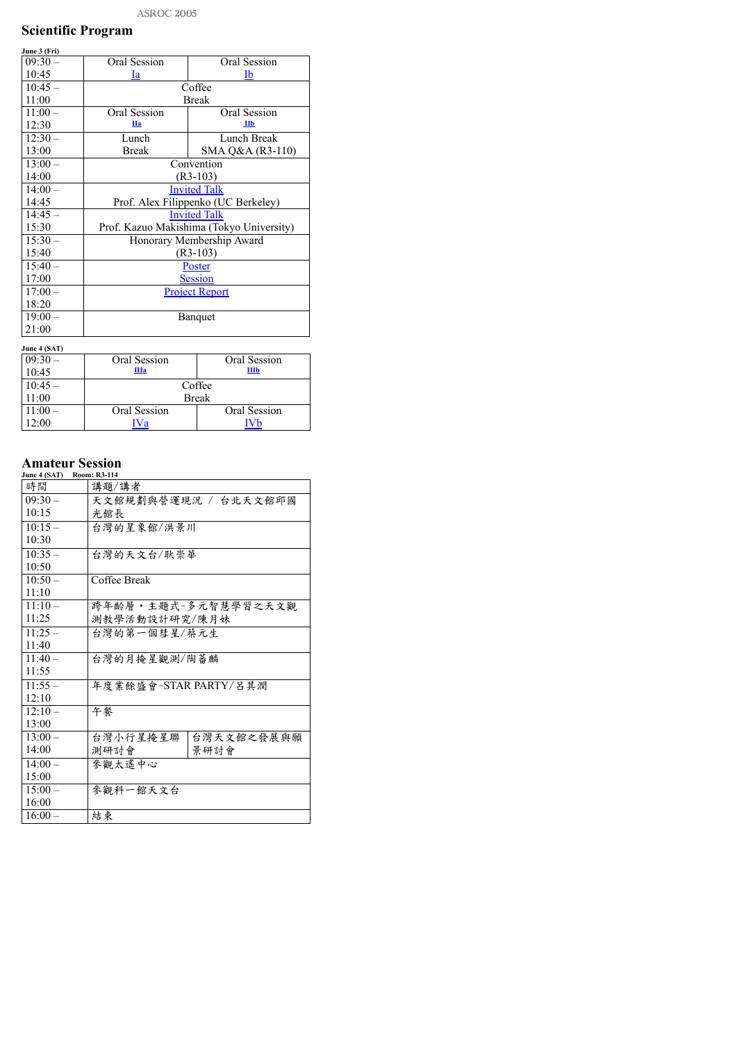## Scientific Program

| June 3 (Fri) |                                                |                                          |
|--------------|------------------------------------------------|------------------------------------------|
| $09:30-$     | <b>Oral Session</b>                            | <b>Oral Session</b>                      |
| 10:45        | $\underline{\mathbf{I}}\underline{\mathbf{a}}$ | <u>Ib</u>                                |
| $10:45-$     |                                                | Coffee                                   |
| 11:00        |                                                | <b>Break</b>                             |
| $11:00-$     | <b>Oral Session</b>                            | <b>Oral Session</b>                      |
| 12:30        | $\mathbf{IIa}$                                 | I1                                       |
| $12:30-$     | Lunch                                          | Lunch Break                              |
| 13:00        | <b>Break</b>                                   | SMA Q&A $(R3-110)$                       |
| $13:00-$     |                                                | Convention                               |
| 14:00        |                                                | $(R3-103)$                               |
| $14:00-$     |                                                | <b>Invited Talk</b>                      |
| 14:45        |                                                | Prof. Alex Filippenko (UC Berkeley)      |
| $14:45-$     |                                                | <b>Invited Talk</b>                      |
| 15:30        |                                                | Prof. Kazuo Makishima (Tokyo University) |
| $15:30-$     |                                                | Honorary Membership Award                |
| 15:40        |                                                | $(R3-103)$                               |
| $15:40-$     |                                                | <u>Poster</u>                            |
| 17:00        |                                                | <b>Session</b>                           |
| $17:00 -$    |                                                | <b>Project Report</b>                    |
| 18:20        |                                                |                                          |
| $19:00-$     |                                                | <b>Banquet</b>                           |
| 21:00        |                                                |                                          |
| June 4 (SAT) |                                                |                                          |

| $J$ ulit $\tau$ (DAT) |                     |                     |
|-----------------------|---------------------|---------------------|
| $ 09:30-$             | Oral Session        | <b>Oral Session</b> |
| 10:45                 | $\prod_{a}$         | IIIb                |
| $10:45-$              |                     | Coffee              |
| 11:00                 |                     | <b>Break</b>        |
| $11:00-$              | <b>Oral Session</b> | Oral Session        |
| 12:00                 | ∕a                  |                     |

## Amateur Session

| June 4 (SAT) | <b>Room: R3-114</b>    |
|--------------|------------------------|
| 時間           | 講題/講者                  |
| $09:30-$     | 天文館規劃與營運現況 / 台北天文館邱國   |
| 10:15        | 光館長                    |
| $10:15-$     | 台灣的星象館/洪景川             |
| 10:30        |                        |
| $10:35-$     | 台灣的天文台/耿崇華             |
| 10:50        |                        |
| $10:50-$     | Coffee Break           |
| 11:10        |                        |
| $11:10-$     | 跨年齡層 • 主題式-多元智慧學習之天文觀  |
| 11:25        | 測教學活動設計研究/陳月妹          |
| $11:25-$     | 台灣的第一個彗星/蔡元生           |
| 11:40        |                        |
| $11:40-$     | 台灣的月掩星觀測/陶蕃麟           |
| 11:55        |                        |
| $11:55-$     | 年度業餘盛會-STAR PARTY/呂其潤  |
| 12:10        |                        |
| $12:10-$     | 午餐                     |
| 13:00        |                        |
| 13:00        | 台灣小行星掩星聯<br>台灣天文館之發展與願 |
| 14:00        | 景研討會<br>測研討會           |
| $14:00-$     | 參觀太遙中心                 |
| 15:00        |                        |
| $15:00-$     | 參觀科一館天文台               |
| 16:00        |                        |
| $16:00 -$    | 結束                     |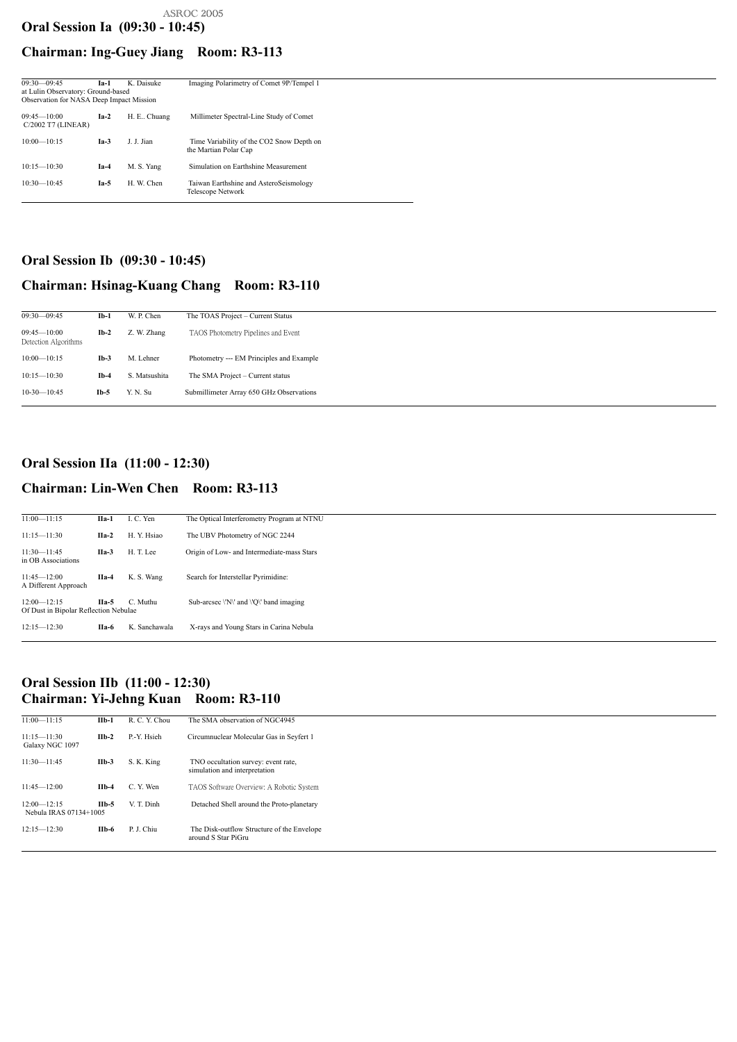| $09:30 - 09:45$<br>at Lulin Observatory: Ground-based<br><b>Observation for NASA Deep Impact Mission</b> | $Ia-1$ | K. Daisuke    | Imaging Polarimetry of Comet 9P/Tempel 1                           |
|----------------------------------------------------------------------------------------------------------|--------|---------------|--------------------------------------------------------------------|
| $09:45 - 10:00$<br>$C/2002$ T7 (LINEAR)                                                                  | $Ia-2$ | H. E., Chuang | Millimeter Spectral-Line Study of Comet                            |
| $10:00 - 10:15$                                                                                          | $Ia-3$ | J. J. Jian    | Time Variability of the CO2 Snow Depth on<br>the Martian Polar Cap |
| $10:15 - 10:30$                                                                                          | $Ia-4$ | M. S. Yang    | Simulation on Earthshine Measurement                               |
| $10:30 - 10:45$                                                                                          | $Ia-5$ | H. W. Chen    | Taiwan Earthshine and AsteroSeismology<br>Telescope Network        |

### <span id="page-1-1"></span>Oral Session Ib (09:30 - 10:45)

### Chairman: Hsinag-Kuang Chang Room: R3-110

12:00—12:15 **IIa-5** C. Muthu Sub-arcsec  $\forall N'$  and  $\forall Q'$  band imaging Of Dust in Bipolar Reflection Nebulae

| $09:30 - 09:45$                         | $Ib-1$ | W. P. Chen    | The TOAS Project – Current Status        |
|-----------------------------------------|--------|---------------|------------------------------------------|
| $09:45 - 10:00$<br>Detection Algorithms | $Ib-2$ | Z. W. Zhang   | TAOS Photometry Pipelines and Event      |
| $10:00 - 10:15$                         | $Ib-3$ | M. Lehner     | Photometry --- EM Principles and Example |
| $10:15 - 10:30$                         | $Ib-4$ | S. Matsushita | The SMA Project – Current status         |
| $10-30-10:45$                           | $Ib-5$ | Y. N. Su      | Submillimeter Array 650 GHz Observations |

# <span id="page-1-2"></span>Oral Session IIa (11:00 - 12:30) Chairman: Lin-Wen Chen Room: R3-113

### <span id="page-1-0"></span>Oral Session Ia (09:30 - 10:45) ASROC 2005

### Chairman: Ing-Guey Jiang Room: R3-113

| $11:00 - 11:15$ | $\prod_{a=1}$ | I. C. Yen   | The Optical Interferometry Program at NTNU |
|-----------------|---------------|-------------|--------------------------------------------|
|                 |               |             |                                            |
| $11:15 - 11:30$ | $IIa-2$       | H. Y. Hsiao | The UBV Photometry of NGC 2244             |
|                 |               |             |                                            |
| $11:30 - 11:45$ | $IIa-3$       | H T Lee     | Origin of Low- and Intermediate-mass Stars |
|                 |               |             |                                            |

in OB Associations

11:45—12:00 IIa-4 K. S. Wang Search for Interstellar Pyrimidine: A Different Approach

12:15—12:30 IIa-6 K. Sanchawala X-rays and Young Stars in Carina Nebula

### <span id="page-1-3"></span>Oral Session IIb (11:00 - 12:30) Chairman: Yi-Jehng Kuan Room: R3-110

| $11:00 - 11:15$                           | $IIb-1$ | R. C. Y. Chou | The SMA observation of NGC4945                                       |
|-------------------------------------------|---------|---------------|----------------------------------------------------------------------|
| $11:15 - 11:30$<br>Galaxy NGC 1097        | $IIb-2$ | P.-Y. Hsieh   | Circumnuclear Molecular Gas in Seyfert 1                             |
| $11:30 - 11:45$                           | $IIb-3$ | S. K. King    | TNO occultation survey: event rate,<br>simulation and interpretation |
| $11:45 - 12:00$                           | $IIb-4$ | C. Y. Wen     | TAOS Software Overview: A Robotic System                             |
| $12:00 - 12:15$<br>Nebula IRAS 07134+1005 | $IIb-5$ | V. T. Dinh    | Detached Shell around the Proto-planetary                            |
| $12:15 - 12:30$                           | $IIb-6$ | P. J. Chiu    | The Disk-outflow Structure of the Envelope<br>around S Star PiGru    |